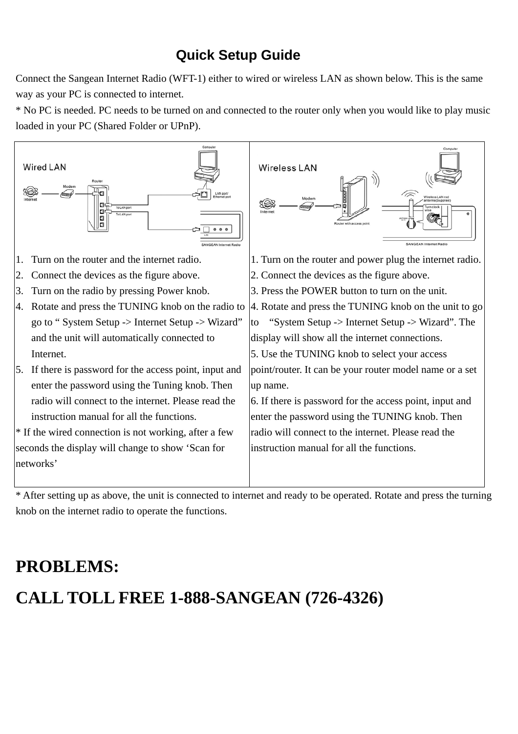## **Quick Setup Guide**

Connect the Sangean Internet Radio (WFT-1) either to wired or wireless LAN as shown below. This is the same way as your PC is connected to internet.

\* No PC is needed. PC needs to be turned on and connected to the router only when you would like to play music loaded in your PC (Shared Folder or UPnP).



\* After setting up as above, the unit is connected to internet and ready to be operated. Rotate and press the turning knob on the internet radio to operate the functions.

## **PROBLEMS: CALL TOLL FREE 1-888-SANGEAN (726-4326)**